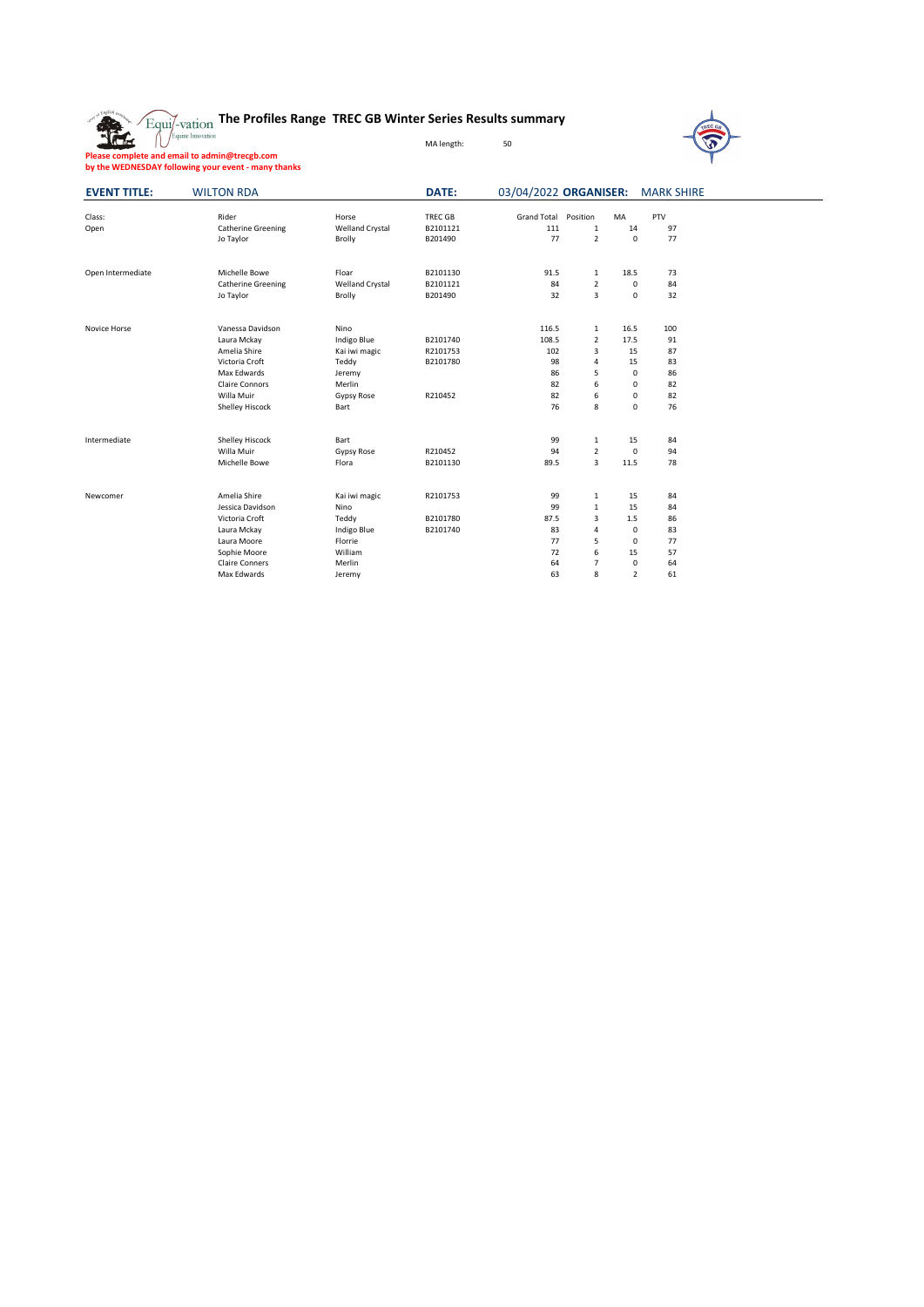



**Please complete and email to admin@trecgb.com by the WEDNESDAY following your event - many thanks**

| <b>EVENT TITLE:</b> | <b>WILTON RDA</b>         |                        | <b>DATE:</b> | 03/04/2022 ORGANISER:       |                |                | <b>MARK SHIRE</b> |  |
|---------------------|---------------------------|------------------------|--------------|-----------------------------|----------------|----------------|-------------------|--|
| Class:              | Rider                     | Horse                  | TREC GB      | <b>Grand Total Position</b> |                | MA             | PTV               |  |
| Open                | <b>Catherine Greening</b> | <b>Welland Crystal</b> | B2101121     | 111                         | $\mathbf{1}$   | 14             | 97                |  |
|                     | Jo Taylor                 | <b>Brolly</b>          | B201490      | 77                          | $2^{\circ}$    | $\mathbf 0$    | 77                |  |
| Open Intermediate   | Michelle Bowe             | Floar                  | B2101130     | 91.5                        | $\mathbf{1}$   | 18.5           | 73                |  |
|                     | <b>Catherine Greening</b> | <b>Welland Crystal</b> | B2101121     | 84                          | $\overline{2}$ | $\mathsf 0$    | 84                |  |
|                     | Jo Taylor                 | <b>Brolly</b>          | B201490      | 32                          | $\overline{3}$ | $\mathsf{O}$   | 32                |  |
| Novice Horse        | Vanessa Davidson          | Nino                   |              | 116.5                       | $\mathbf{1}$   | 16.5           | 100               |  |
|                     | Laura Mckay               | Indigo Blue            | B2101740     | 108.5                       | $\overline{2}$ | 17.5           | $91\,$            |  |
|                     | Amelia Shire              | Kai iwi magic          | R2101753     | 102                         | 3              | 15             | 87                |  |
|                     | Victoria Croft            | Teddy                  | B2101780     | 98                          | 4              | 15             | 83                |  |
|                     | Max Edwards               | Jeremy                 |              | 86                          | 5              | 0              | 86                |  |
|                     | <b>Claire Connors</b>     | Merlin                 |              | 82                          | 6              | 0              | 82                |  |
|                     | Willa Muir                | <b>Gypsy Rose</b>      | R210452      | 82                          | 6              | 0              | 82                |  |
|                     | <b>Shelley Hiscock</b>    | <b>Bart</b>            |              | 76                          | 8              | $\mathsf{O}$   | 76                |  |
| Intermediate        | <b>Shelley Hiscock</b>    | <b>Bart</b>            |              | 99                          | $\mathbf{1}$   | 15             | 84                |  |
|                     | Willa Muir                | <b>Gypsy Rose</b>      | R210452      | 94                          | $\overline{2}$ | $\mathbf 0$    | 94                |  |
|                     | Michelle Bowe             | Flora                  | B2101130     | 89.5                        | $\overline{3}$ | 11.5           | 78                |  |
| Newcomer            | Amelia Shire              | Kai iwi magic          | R2101753     | 99                          | $\mathbf{1}$   | 15             | 84                |  |
|                     | Jessica Davidson          | Nino                   |              | 99                          | $\mathbf{1}$   | 15             | 84                |  |
|                     | Victoria Croft            | Teddy                  | B2101780     | 87.5                        | $\mathbf{3}$   | 1.5            | 86                |  |
|                     | Laura Mckay               | Indigo Blue            | B2101740     | 83                          | $\overline{4}$ | $\mathbf 0$    | 83                |  |
|                     | Laura Moore               | Florrie                |              | 77                          | 5              | $\mathbf 0$    | 77                |  |
|                     | Sophie Moore              | William                |              | 72                          | 6              | 15             | 57                |  |
|                     | <b>Claire Conners</b>     | Merlin                 |              | 64                          | $\overline{7}$ | $\mathbf 0$    | 64                |  |
|                     | Max Edwards               | Jeremy                 |              | 63                          | 8              | $\overline{2}$ | 61                |  |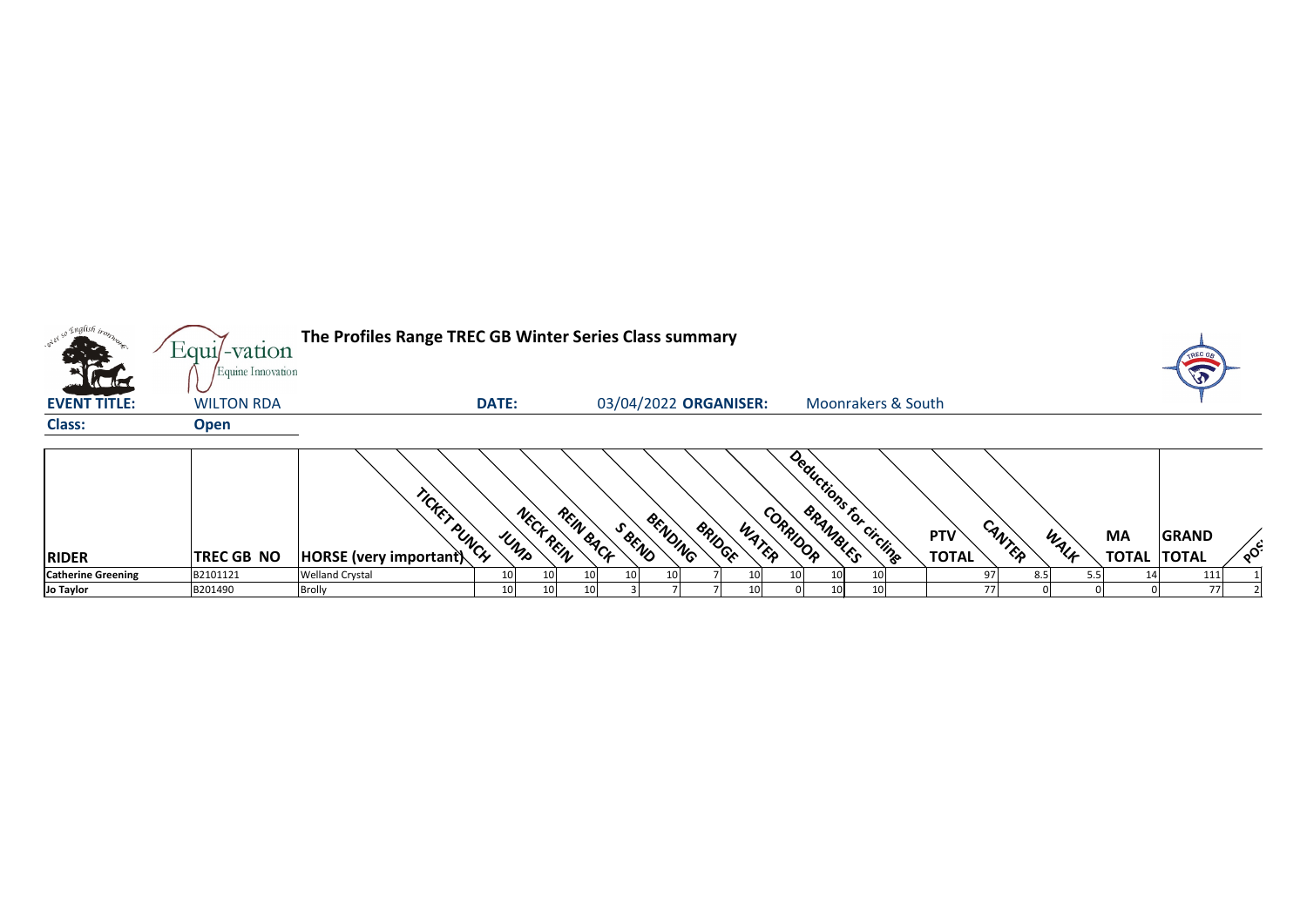|                           | Equil-vation                           | The Profiles Range TREC GB Winter Series Class summary |              |                                 |                          |       |                                     |                               |                            |        |      |                           |                              |              |
|---------------------------|----------------------------------------|--------------------------------------------------------|--------------|---------------------------------|--------------------------|-------|-------------------------------------|-------------------------------|----------------------------|--------|------|---------------------------|------------------------------|--------------|
| <b>EVENT TITLE:</b>       | Equine Innovation<br><b>WILTON RDA</b> |                                                        | <b>DATE:</b> |                                 | 03/04/2022 ORGANISER:    |       |                                     | <b>Moonrakers &amp; South</b> |                            |        |      |                           |                              |              |
| <b>Class:</b>             | <b>Open</b>                            |                                                        |              |                                 |                          |       |                                     |                               |                            |        |      |                           |                              |              |
| <b>RIDER</b>              | <b>TREC GB NO</b>                      | TICKET PUNCH<br><b>HORSE</b> (very important)          | UMPR         | REIN BACK<br>NECK REIN<br>SBEND | BENDING<br><b>BRIDGE</b> | WATER | Deductions for circling<br>CORRIDOR |                               | <b>PTV</b><br><b>TOTAL</b> | CANTER | WALF | <b>MA</b><br><b>TOTAL</b> | <b>GRAND</b><br><b>TOTAL</b> | $\delta^{c}$ |
| <b>Catherine Greening</b> | B2101121                               | <b>Welland Crystal</b>                                 |              |                                 |                          |       |                                     |                               |                            | 8.5    |      |                           | 111                          |              |
| Jo Taylor                 | B201490                                | <b>Brolly</b>                                          | 10           |                                 |                          |       |                                     |                               |                            |        |      |                           | 77                           |              |



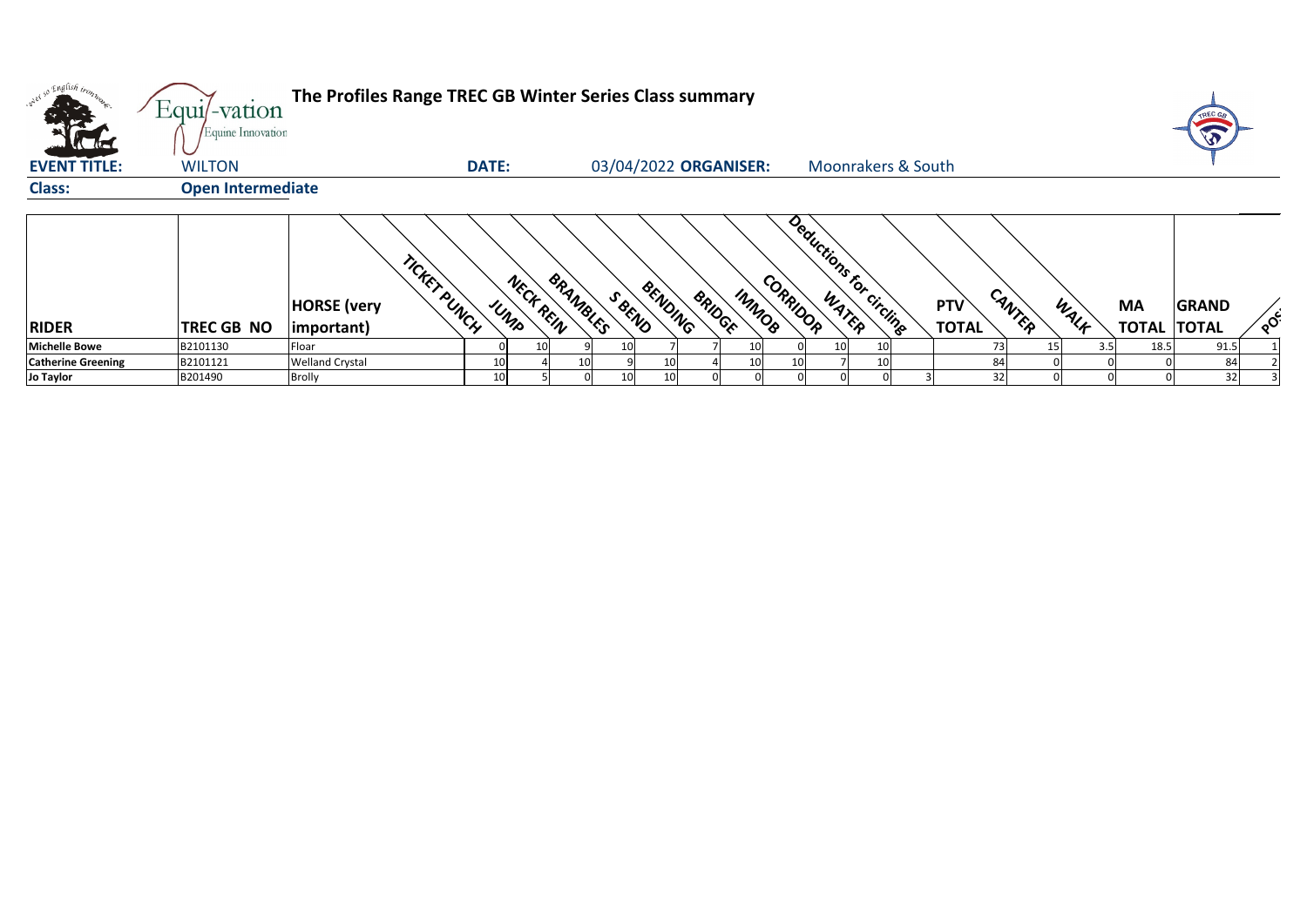| oned so English trong<br><b>Alla</b> | $Equi$ -vation<br>Equine Innovation | The Profiles Range TREC GB Winter Series Class summary    |                  |                   |                                   |                                     |                            |        |            |                                 |              |          |
|--------------------------------------|-------------------------------------|-----------------------------------------------------------|------------------|-------------------|-----------------------------------|-------------------------------------|----------------------------|--------|------------|---------------------------------|--------------|----------|
| <b>EVENT TITLE:</b>                  | <b>WILTON</b>                       |                                                           | <b>DATE:</b>     |                   | 03/04/2022 ORGANISER:             | <b>Moonrakers &amp; South</b>       |                            |        |            |                                 |              |          |
| <b>Class:</b>                        | <b>Open Intermediate</b>            |                                                           |                  |                   |                                   |                                     |                            |        |            |                                 |              |          |
| <b>RIDER</b>                         | <b>TREC GB NO</b>                   | TICKET PUNCH<br><b>HORSE</b> (very<br>$ important\rangle$ | NECK REIN<br>UMP | BRANBLES<br>SBEND | BENDING<br>IMMOB<br><b>BRIDGE</b> | Deductions for circling<br>CORRIDOR | <b>PTV</b><br><b>TOTAL</b> | CANTER | WALK       | <b>MA</b><br><b>TOTAL TOTAL</b> | <b>GRAND</b> | $\sim$ င |
| <b>Michelle Bowe</b>                 | B2101130                            | Floar                                                     | 10I              | 10                | 10                                | 10 <sup>1</sup><br>10               |                            | 73     | 3.5<br>15. | 18.5                            | 91.5         |          |
| <b>Catherine Greening</b>            | B2101121                            | <b>Welland Crystal</b>                                    |                  |                   | 10                                |                                     |                            | 84     |            |                                 | 84           |          |
| <b>Jo Taylor</b>                     | B201490                             | <b>Brolly</b>                                             | 10 <sub>1</sub>  | 10                |                                   |                                     |                            | 32     |            |                                 | 32           |          |



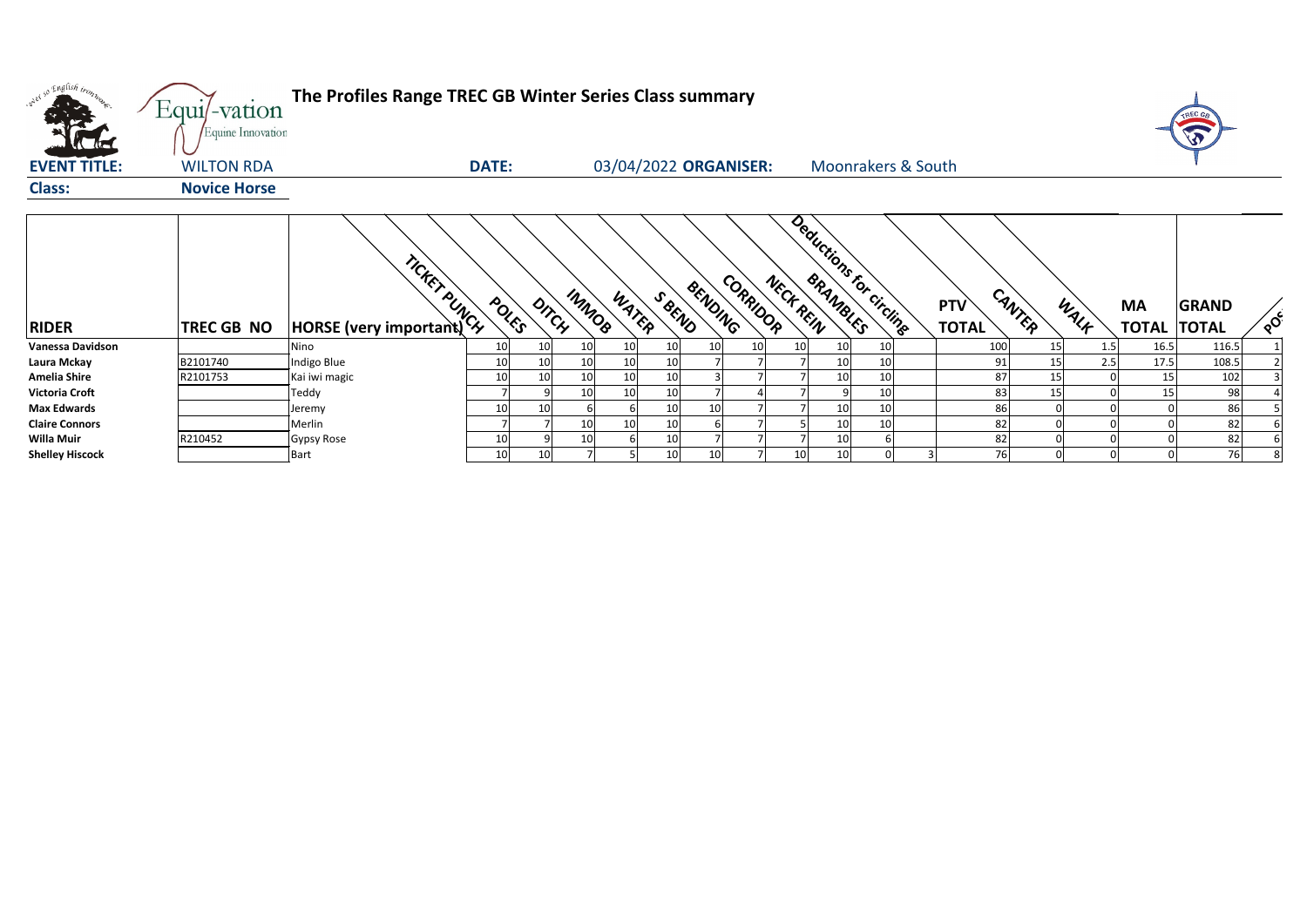| <sub>0</sub> 0 Engli <i>sh ir<sub>07</sub></i> | Equi/-vation<br>Equine Innovation | The Profiles Range TREC GB Winter Series Class summary |              |                       |       |                 |                       |    |                 |                               |                            |          |           |                                 |              |                            |
|------------------------------------------------|-----------------------------------|--------------------------------------------------------|--------------|-----------------------|-------|-----------------|-----------------------|----|-----------------|-------------------------------|----------------------------|----------|-----------|---------------------------------|--------------|----------------------------|
| <b>EVENT TITLE:</b>                            | <b>WILTON RDA</b>                 |                                                        | <b>DATE:</b> |                       |       |                 | 03/04/2022 ORGANISER: |    |                 | <b>Moonrakers &amp; South</b> |                            |          |           |                                 |              |                            |
| <b>Class:</b>                                  | <b>Novice Horse</b>               |                                                        |              |                       |       |                 |                       |    |                 |                               |                            |          |           |                                 |              |                            |
| <b>RIDER</b>                                   | TREC GB NO                        | TORSE (very important)                                 | POLES        | IMMOR<br>DITCH        | WATER | SBEND           | CORRIDOR<br>BENDING   |    | NECK REIN       | Deductions for circling       | <b>PTV</b><br><b>TOTAL</b> | CANTER   | WALK      | <b>MA</b><br><b>TOTAL TOTAL</b> | <b>GRAND</b> | $\mathcal{L}_{\mathbf{Q}}$ |
| <b>Vanessa Davidson</b>                        |                                   | Nino                                                   | 10           | 10<br>10              | 10    | 10              | 10                    | 10 | 10              | 10                            |                            | 100      | 15<br>1.5 | 16.5                            | 116.5        |                            |
| Laura Mckay                                    | B2101740                          | Indigo Blue                                            | 10           | 10 <sup>1</sup><br>10 | 10    | 10 <sub>1</sub> |                       |    |                 | 10                            |                            | 91       | 15<br>2.5 | 17.5                            | 108.5        |                            |
| <b>Amelia Shire</b>                            | R2101753                          | Kai iwi magic                                          | $10\,$       | 10<br>10<br>q         | 10    | 10              |                       |    |                 | 10                            |                            | 87       | 15        | 15                              | 102          |                            |
| <b>Victoria Croft</b><br><b>Max Edwards</b>    |                                   | Teddy                                                  |              | 10                    | 10    | 10              |                       |    |                 | 10                            |                            | 83       | 15        | 15                              | 98           |                            |
| <b>Claire Connors</b>                          |                                   | Jeremy<br>Merlin                                       | 10           | 10<br>10              | 10    | 10<br>10        | 10                    |    |                 | 10<br>10                      |                            | 86<br>82 |           |                                 | 86<br>82     |                            |
| <b>Willa Muir</b>                              | R210452                           | Gypsy Rose                                             | 10           |                       |       | 10              |                       |    |                 |                               |                            | 82       |           |                                 | 82           |                            |
| <b>Shelley Hiscock</b>                         |                                   | <b>Bart</b>                                            | 10           | 10 <sup>1</sup>       |       | 10              | 10 <sup>1</sup>       |    | 10 <sup>1</sup> |                               |                            | 76       |           |                                 | 76           |                            |



| <b>PTV</b>   | CANTEP | WALK | <b>MA</b>    | <b>GRAND</b> |                |
|--------------|--------|------|--------------|--------------|----------------|
| <b>TOTAL</b> |        |      | <b>TOTAL</b> | <b>TOTAL</b> | POC            |
| 100          | 15     | 1.5  | 16.5         | 116.5        | 1              |
| 91           | 15     | 2.5  | 17.5         | 108.5        | $\overline{2}$ |
| 87           | 15     | 0    | 15           | 102          | 3              |
| 83           | 15     | 0    | 15           | 98           | 4              |
| 86           | 0      | 0    | 0            | 86           | 5              |
| 82           | 0      | 0    | 0            | 82           | 6              |
| 82           | 0      | 0    | 0            | 82           | 6              |
| 76           | 0      | 0    | 0            | 76           | 8              |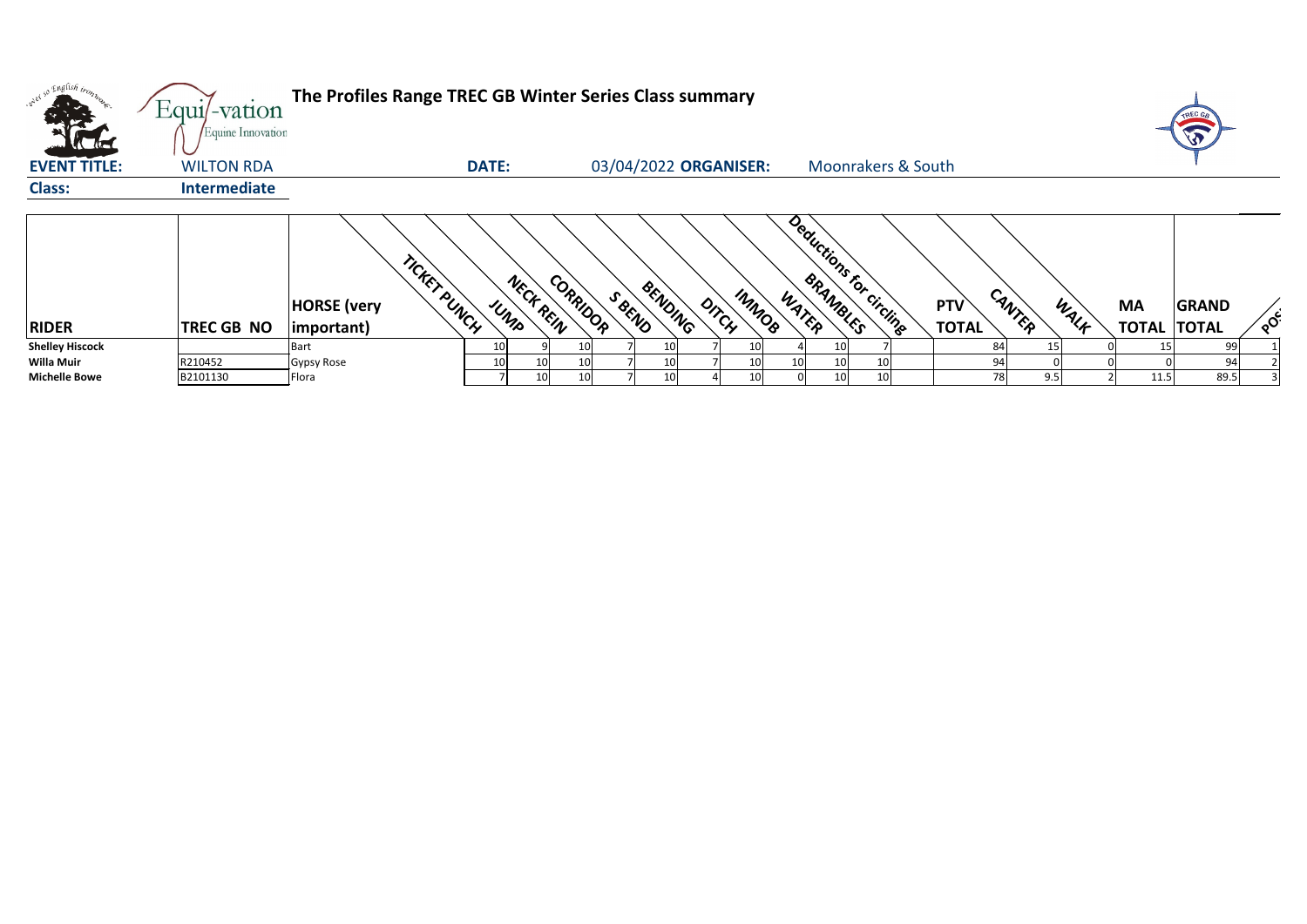| <b>CATHERINE</b>       | $Equi$ -vation<br>Equine Innovation | The Profiles Range TREC GB Winter Series Class summary    |              |                       |                       |                |       |                               |                            |        |      |                                 | T            |                                     |
|------------------------|-------------------------------------|-----------------------------------------------------------|--------------|-----------------------|-----------------------|----------------|-------|-------------------------------|----------------------------|--------|------|---------------------------------|--------------|-------------------------------------|
| <b>EVENT TITLE:</b>    | <b>WILTON RDA</b>                   |                                                           | <b>DATE:</b> |                       | 03/04/2022 ORGANISER: |                |       | <b>Moonrakers &amp; South</b> |                            |        |      |                                 |              |                                     |
| <b>Class:</b>          | <b>Intermediate</b>                 |                                                           |              |                       |                       |                |       |                               |                            |        |      |                                 |              |                                     |
| <b>RIDER</b>           | <b>TREC GB NO</b>                   | TICKET PUNCH<br><b>HORSE</b> (very<br>$ important\rangle$ | UMP          | CORRIDOR<br>NECK REIN | BENDING<br>SBEND      | IMMOR<br>DITCH | WATER | Deductions for circling       | <b>PTV</b><br><b>TOTAL</b> | CANTER | WALF | <b>MA</b><br><b>TOTAL TOTAL</b> | <b>GRAND</b> | $\lambda_{\mathbf{Q}}^{\mathbf{C}}$ |
| <b>Shelley Hiscock</b> |                                     | <b>Bart</b>                                               |              |                       |                       | 10             |       | 10                            |                            | 84     |      |                                 | 99           |                                     |
| <b>Willa Muir</b>      | R210452                             | Gypsy Rose                                                | 10           | 10<br>10              |                       | 10             |       | 10                            |                            | 94     |      |                                 | 94           |                                     |
| <b>Michelle Bowe</b>   | B2101130                            | Flora                                                     |              | 10I<br>10             |                       | 10I            |       | 10                            |                            | 78     | 9.5  | 11.5                            | 89.5         |                                     |



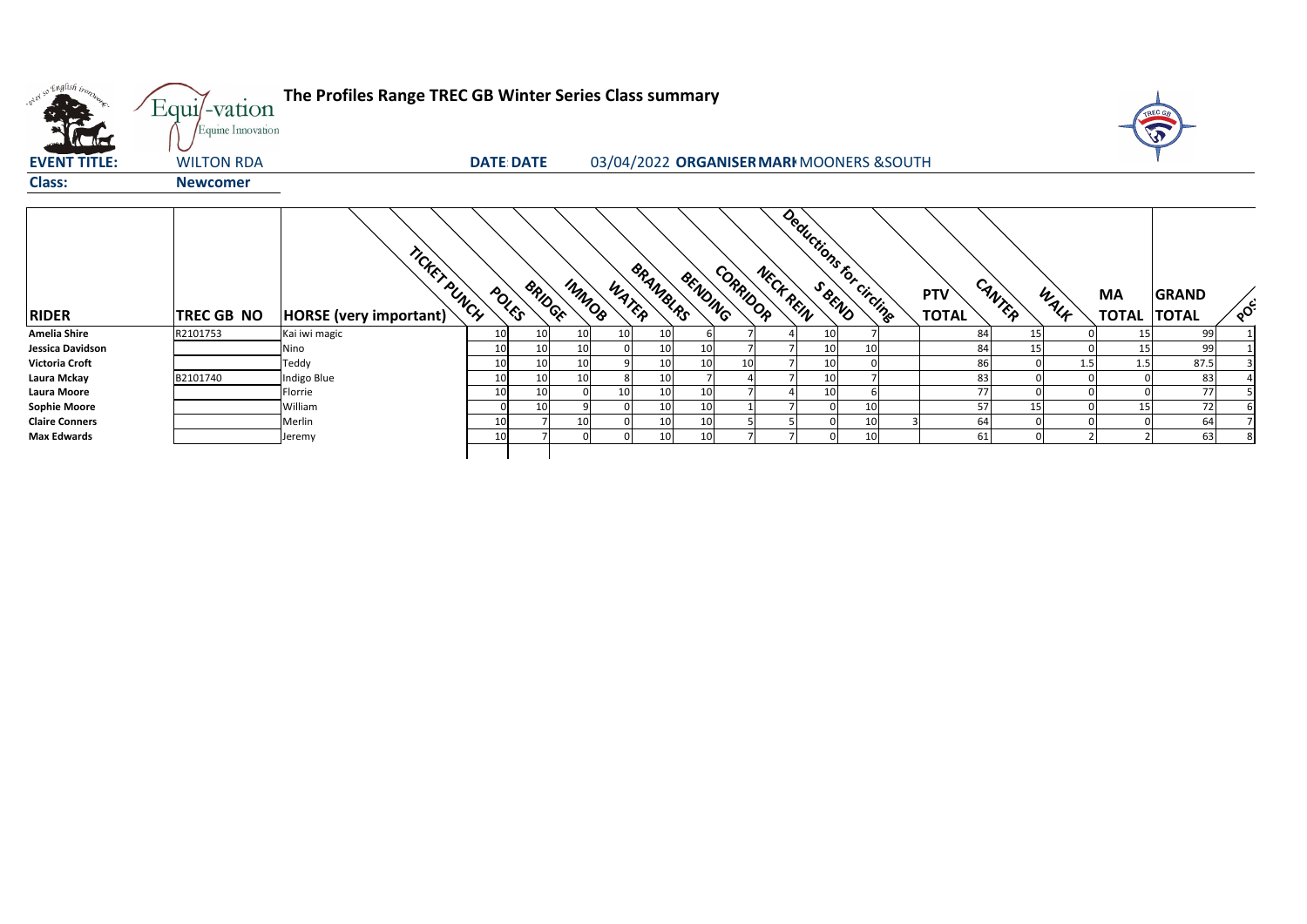| onel so English trong | Equi/-vation<br>Equine Innovation | The Profiles Range TREC GB Winter Series Class summary |                   |               |                 |                 |         |          |           |                                           |    |                            |        |      |                                 |              |               |
|-----------------------|-----------------------------------|--------------------------------------------------------|-------------------|---------------|-----------------|-----------------|---------|----------|-----------|-------------------------------------------|----|----------------------------|--------|------|---------------------------------|--------------|---------------|
| <b>EVENT TITLE:</b>   | <b>WILTON RDA</b>                 |                                                        | <b>DATE: DATE</b> |               |                 |                 |         |          |           | 03/04/2022 ORGANISER MARI MOONERS & SOUTH |    |                            |        |      |                                 |              |               |
| <b>Class:</b>         | <b>Newcomer</b>                   |                                                        |                   |               |                 |                 |         |          |           |                                           |    |                            |        |      |                                 |              |               |
| <b>RIDER</b>          | <b>TREC GB NO</b>                 | TICKET PUNCH<br><b>HORSE</b> (very important)          | POLES             | <b>BRIDGE</b> | IMMOS<br>WATER  | <b>BRANDURS</b> | BENDING | CORRIDOR | NECK REIN | Deductions for circling                   |    | <b>PTV</b><br><b>TOTAL</b> | CANTER | WALK | <b>MA</b><br><b>TOTAL TOTAL</b> | <b>GRAND</b> | $\mathcal{S}$ |
| <b>Amelia Shire</b>   | R2101753                          | Kai iwi magic                                          | 10 <sub>l</sub>   | 10            | 10<br>10        | 10              |         |          |           | 10                                        |    |                            | 84     | 15   | 15                              | 99           |               |
| Jessica Davidson      |                                   | Nino                                                   | 10                | 10            | 10 <sup>1</sup> | 10              | 10      |          |           | 10                                        | 10 |                            | 84     | 15   | 15                              | 99           |               |
| <b>Victoria Croft</b> |                                   | Teddy                                                  | 10                | 10            | 10              | 10              | 10      |          |           | 10                                        |    |                            | 86     | 1.5  | 1.5                             | 87.5         |               |
| Laura Mckay           | B2101740                          | Indigo Blue                                            | 10 <sup>1</sup>   | 10            | 10              | 10              |         |          |           | 10                                        |    |                            | 83     |      |                                 | 83           |               |
| <b>Laura Moore</b>    |                                   | Florrie                                                |                   | 10            | 10              | 10              | 10      |          |           | 10                                        |    |                            | 77     |      |                                 | 77           |               |
| <b>Sophie Moore</b>   |                                   | William                                                |                   | 10            | 9               | 10              | 10      |          |           |                                           | 10 |                            | 57     | 15   | 15                              | 72           |               |
| <b>Claire Conners</b> |                                   | Merlin                                                 | 10                |               | 10 <sup>1</sup> | 10              | 10      |          |           |                                           | 10 |                            | 64     |      |                                 | 64           |               |
| <b>Max Edwards</b>    |                                   | Jeremy                                                 | 10                |               | 0 <br>$\Omega$  | 10              | 10      |          |           |                                           | 10 |                            | 61     |      |                                 | 63           |               |